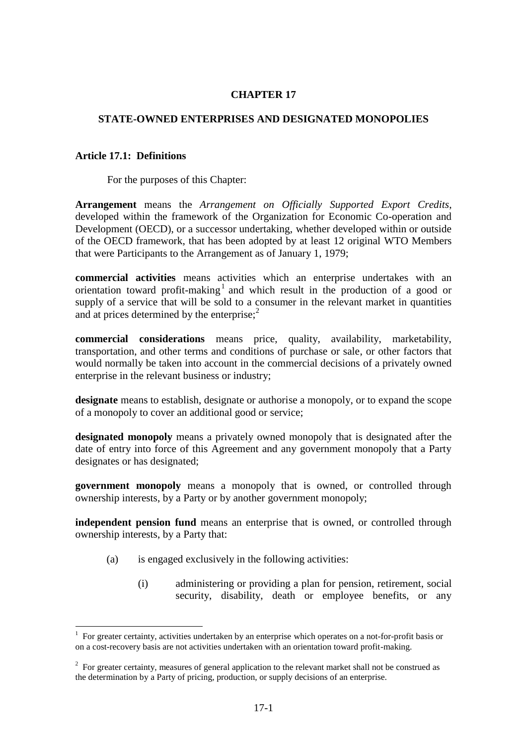### **CHAPTER 17**

### **STATE-OWNED ENTERPRISES AND DESIGNATED MONOPOLIES**

#### **Article 17.1: Definitions**

<u>.</u>

For the purposes of this Chapter:

**Arrangement** means the *Arrangement on Officially Supported Export Credits*, developed within the framework of the Organization for Economic Co-operation and Development (OECD), or a successor undertaking, whether developed within or outside of the OECD framework, that has been adopted by at least 12 original WTO Members that were Participants to the Arrangement as of January 1, 1979;

**commercial activities** means activities which an enterprise undertakes with an orientation toward profit-making<sup>1</sup> and which result in the production of a good or supply of a service that will be sold to a consumer in the relevant market in quantities and at prices determined by the enterprise; 2

**commercial considerations** means price, quality, availability, marketability, transportation, and other terms and conditions of purchase or sale, or other factors that would normally be taken into account in the commercial decisions of a privately owned enterprise in the relevant business or industry;

**designate** means to establish, designate or authorise a monopoly, or to expand the scope of a monopoly to cover an additional good or service;

**designated monopoly** means a privately owned monopoly that is designated after the date of entry into force of this Agreement and any government monopoly that a Party designates or has designated;

**government monopoly** means a monopoly that is owned, or controlled through ownership interests, by a Party or by another government monopoly;

**independent pension fund** means an enterprise that is owned, or controlled through ownership interests, by a Party that:

- (a) is engaged exclusively in the following activities:
	- (i) administering or providing a plan for pension, retirement, social security, disability, death or employee benefits, or any

<sup>&</sup>lt;sup>1</sup> For greater certainty, activities undertaken by an enterprise which operates on a not-for-profit basis or on a cost-recovery basis are not activities undertaken with an orientation toward profit-making.

 $2^2$  For greater certainty, measures of general application to the relevant market shall not be construed as the determination by a Party of pricing, production, or supply decisions of an enterprise.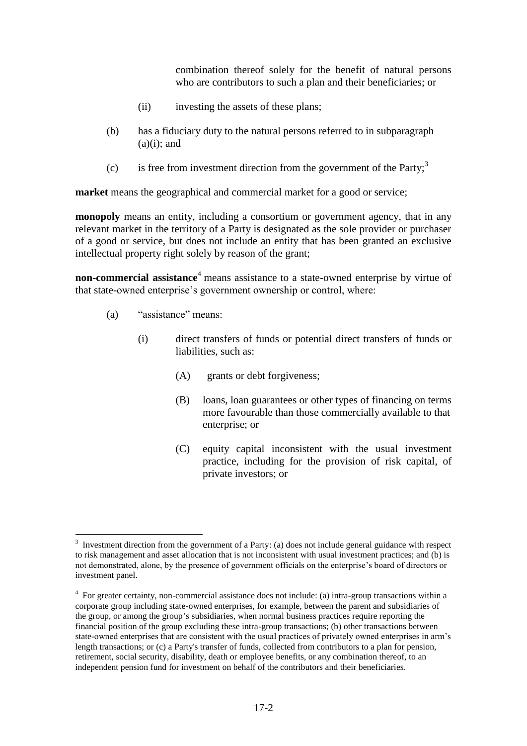combination thereof solely for the benefit of natural persons who are contributors to such a plan and their beneficiaries; or

- (ii) investing the assets of these plans;
- (b) has a fiduciary duty to the natural persons referred to in subparagraph  $(a)(i)$ ; and
- $(c)$  is free from investment direction from the government of the Party;<sup>3</sup>

**market** means the geographical and commercial market for a good or service;

**monopoly** means an entity, including a consortium or government agency, that in any relevant market in the territory of a Party is designated as the sole provider or purchaser of a good or service, but does not include an entity that has been granted an exclusive intellectual property right solely by reason of the grant;

**non-commercial assistance**<sup>4</sup> means assistance to a state-owned enterprise by virtue of that state-owned enterprise's government ownership or control, where:

- (a) "assistance" means:
	- (i) direct transfers of funds or potential direct transfers of funds or liabilities, such as:
		- (A) grants or debt forgiveness;
		- (B) loans, loan guarantees or other types of financing on terms more favourable than those commercially available to that enterprise; or
		- (C) equity capital inconsistent with the usual investment practice, including for the provision of risk capital, of private investors; or

<sup>&</sup>lt;u>.</u>  $3$  Investment direction from the government of a Party: (a) does not include general guidance with respect to risk management and asset allocation that is not inconsistent with usual investment practices; and (b) is not demonstrated, alone, by the presence of government officials on the enterprise's board of directors or investment panel.

<sup>&</sup>lt;sup>4</sup> For greater certainty, non-commercial assistance does not include: (a) intra-group transactions within a corporate group including state-owned enterprises, for example, between the parent and subsidiaries of the group, or among the group's subsidiaries, when normal business practices require reporting the financial position of the group excluding these intra-group transactions; (b) other transactions between state-owned enterprises that are consistent with the usual practices of privately owned enterprises in arm's length transactions; or (c) a Party's transfer of funds, collected from contributors to a plan for pension, retirement, social security, disability, death or employee benefits, or any combination thereof, to an independent pension fund for investment on behalf of the contributors and their beneficiaries.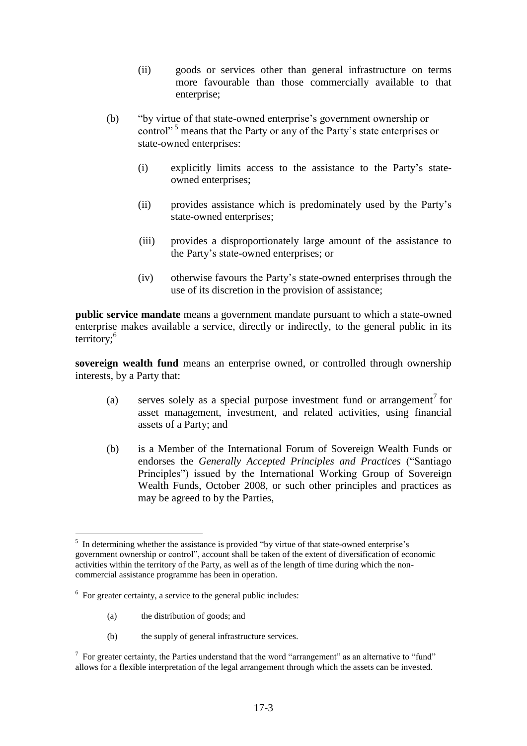- (ii) goods or services other than general infrastructure on terms more favourable than those commercially available to that enterprise;
- (b) "by virtue of that state-owned enterprise's government ownership or control"<sup>5</sup> means that the Party or any of the Party's state enterprises or state-owned enterprises:
	- (i) explicitly limits access to the assistance to the Party's stateowned enterprises;
	- (ii) provides assistance which is predominately used by the Party's state-owned enterprises;
	- (iii) provides a disproportionately large amount of the assistance to the Party's state-owned enterprises; or
	- (iv) otherwise favours the Party's state-owned enterprises through the use of its discretion in the provision of assistance;

**public service mandate** means a government mandate pursuant to which a state-owned enterprise makes available a service, directly or indirectly, to the general public in its territory:<sup>6</sup>

**sovereign wealth fund** means an enterprise owned, or controlled through ownership interests, by a Party that:

- (a) serves solely as a special purpose investment fund or arrangement<sup>7</sup> for asset management, investment, and related activities, using financial assets of a Party; and
- (b) is a Member of the International Forum of Sovereign Wealth Funds or endorses the *Generally Accepted Principles and Practices* ("Santiago Principles") issued by the International Working Group of Sovereign Wealth Funds, October 2008, or such other principles and practices as may be agreed to by the Parties,

- (a) the distribution of goods; and
- (b) the supply of general infrastructure services.

<sup>1</sup> <sup>5</sup> In determining whether the assistance is provided "by virtue of that state-owned enterprise's government ownership or control", account shall be taken of the extent of diversification of economic activities within the territory of the Party, as well as of the length of time during which the noncommercial assistance programme has been in operation.

<sup>&</sup>lt;sup>6</sup> For greater certainty, a service to the general public includes:

 $<sup>7</sup>$  For greater certainty, the Parties understand that the word "arrangement" as an alternative to "fund"</sup> allows for a flexible interpretation of the legal arrangement through which the assets can be invested.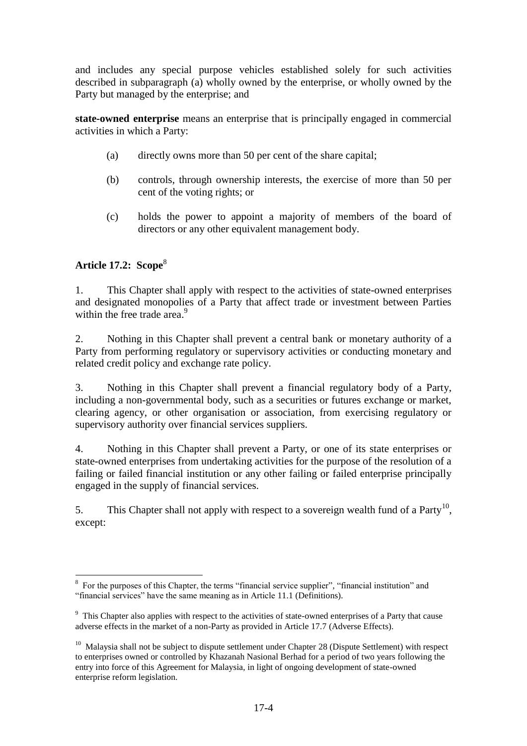and includes any special purpose vehicles established solely for such activities described in subparagraph (a) wholly owned by the enterprise, or wholly owned by the Party but managed by the enterprise; and

**state-owned enterprise** means an enterprise that is principally engaged in commercial activities in which a Party:

- (a) directly owns more than 50 per cent of the share capital;
- (b) controls, through ownership interests, the exercise of more than 50 per cent of the voting rights; or
- (c) holds the power to appoint a majority of members of the board of directors or any other equivalent management body.

# Article 17.2: Scope<sup>8</sup>

1

1. This Chapter shall apply with respect to the activities of state-owned enterprises and designated monopolies of a Party that affect trade or investment between Parties within the free trade area.<sup>9</sup>

2. Nothing in this Chapter shall prevent a central bank or monetary authority of a Party from performing regulatory or supervisory activities or conducting monetary and related credit policy and exchange rate policy.

3. Nothing in this Chapter shall prevent a financial regulatory body of a Party, including a non-governmental body, such as a securities or futures exchange or market, clearing agency, or other organisation or association, from exercising regulatory or supervisory authority over financial services suppliers.

4. Nothing in this Chapter shall prevent a Party, or one of its state enterprises or state-owned enterprises from undertaking activities for the purpose of the resolution of a failing or failed financial institution or any other failing or failed enterprise principally engaged in the supply of financial services.

5. This Chapter shall not apply with respect to a sovereign wealth fund of a Party<sup>10</sup>, except:

<sup>&</sup>lt;sup>8</sup> For the purposes of this Chapter, the terms "financial service supplier", "financial institution" and "financial services" have the same meaning as in Article 11.1 (Definitions).

<sup>&</sup>lt;sup>9</sup> This Chapter also applies with respect to the activities of state-owned enterprises of a Party that cause adverse effects in the market of a non-Party as provided in Article 17.7 (Adverse Effects).

 $10$  Malaysia shall not be subject to dispute settlement under Chapter 28 (Dispute Settlement) with respect to enterprises owned or controlled by Khazanah Nasional Berhad for a period of two years following the entry into force of this Agreement for Malaysia, in light of ongoing development of state-owned enterprise reform legislation.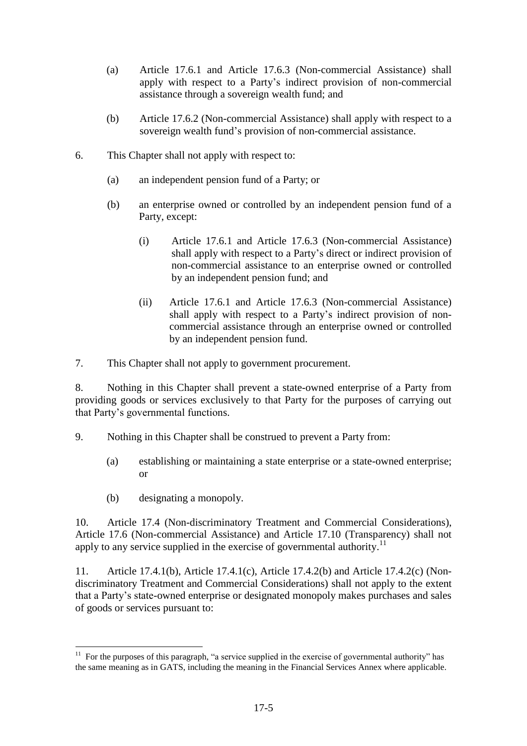- (a) Article 17.6.1 and Article 17.6.3 (Non-commercial Assistance) shall apply with respect to a Party's indirect provision of non-commercial assistance through a sovereign wealth fund; and
- (b) Article 17.6.2 (Non-commercial Assistance) shall apply with respect to a sovereign wealth fund's provision of non-commercial assistance.
- 6. This Chapter shall not apply with respect to:
	- (a) an independent pension fund of a Party; or
	- (b) an enterprise owned or controlled by an independent pension fund of a Party, except:
		- (i) Article 17.6.1 and Article 17.6.3 (Non-commercial Assistance) shall apply with respect to a Party's direct or indirect provision of non-commercial assistance to an enterprise owned or controlled by an independent pension fund; and
		- (ii) Article 17.6.1 and Article 17.6.3 (Non-commercial Assistance) shall apply with respect to a Party's indirect provision of noncommercial assistance through an enterprise owned or controlled by an independent pension fund.

7. This Chapter shall not apply to government procurement.

8. Nothing in this Chapter shall prevent a state-owned enterprise of a Party from providing goods or services exclusively to that Party for the purposes of carrying out that Party's governmental functions.

- 9. Nothing in this Chapter shall be construed to prevent a Party from:
	- (a) establishing or maintaining a state enterprise or a state-owned enterprise; or
	- (b) designating a monopoly.

1

10. Article 17.4 (Non-discriminatory Treatment and Commercial Considerations), Article 17.6 (Non-commercial Assistance) and Article 17.10 (Transparency) shall not apply to any service supplied in the exercise of governmental authority.<sup>11</sup>

11. Article 17.4.1(b), Article 17.4.1(c), Article 17.4.2(b) and Article 17.4.2(c) (Nondiscriminatory Treatment and Commercial Considerations) shall not apply to the extent that a Party's state-owned enterprise or designated monopoly makes purchases and sales of goods or services pursuant to:

 $11$  For the purposes of this paragraph, "a service supplied in the exercise of governmental authority" has the same meaning as in GATS, including the meaning in the Financial Services Annex where applicable.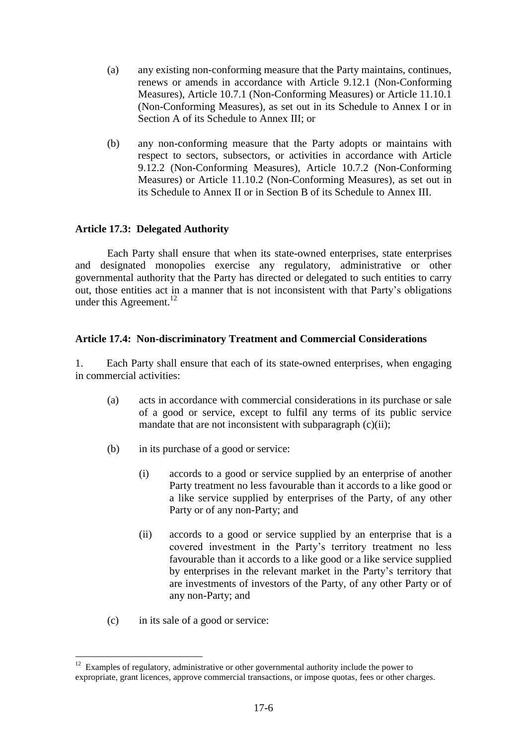- (a) any existing non-conforming measure that the Party maintains, continues, renews or amends in accordance with Article 9.12.1 (Non-Conforming Measures), Article 10.7.1 (Non-Conforming Measures) or Article 11.10.1 (Non-Conforming Measures), as set out in its Schedule to Annex I or in Section A of its Schedule to Annex III; or
- (b) any non-conforming measure that the Party adopts or maintains with respect to sectors, subsectors, or activities in accordance with Article 9.12.2 (Non-Conforming Measures), Article 10.7.2 (Non-Conforming Measures) or Article 11.10.2 (Non-Conforming Measures), as set out in its Schedule to Annex II or in Section B of its Schedule to Annex III.

# **Article 17.3: Delegated Authority**

Each Party shall ensure that when its state-owned enterprises, state enterprises and designated monopolies exercise any regulatory, administrative or other governmental authority that the Party has directed or delegated to such entities to carry out, those entities act in a manner that is not inconsistent with that Party's obligations under this Agreement.<sup>12</sup>

# **Article 17.4: Non-discriminatory Treatment and Commercial Considerations**

1. Each Party shall ensure that each of its state-owned enterprises, when engaging in commercial activities:

- (a) acts in accordance with commercial considerations in its purchase or sale of a good or service, except to fulfil any terms of its public service mandate that are not inconsistent with subparagraph  $(c)(ii)$ ;
- (b) in its purchase of a good or service:
	- (i) accords to a good or service supplied by an enterprise of another Party treatment no less favourable than it accords to a like good or a like service supplied by enterprises of the Party, of any other Party or of any non-Party; and
	- (ii) accords to a good or service supplied by an enterprise that is a covered investment in the Party's territory treatment no less favourable than it accords to a like good or a like service supplied by enterprises in the relevant market in the Party's territory that are investments of investors of the Party, of any other Party or of any non-Party; and
- (c) in its sale of a good or service:

 $12$ Examples of regulatory, administrative or other governmental authority include the power to expropriate, grant licences, approve commercial transactions, or impose quotas, fees or other charges.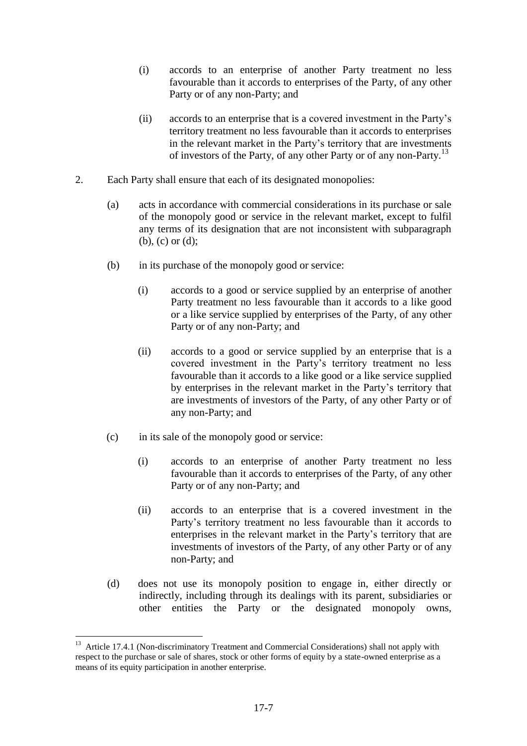- (i) accords to an enterprise of another Party treatment no less favourable than it accords to enterprises of the Party, of any other Party or of any non-Party; and
- (ii) accords to an enterprise that is a covered investment in the Party's territory treatment no less favourable than it accords to enterprises in the relevant market in the Party's territory that are investments of investors of the Party, of any other Party or of any non-Party.<sup>13</sup>
- 2. Each Party shall ensure that each of its designated monopolies:
	- (a) acts in accordance with commercial considerations in its purchase or sale of the monopoly good or service in the relevant market, except to fulfil any terms of its designation that are not inconsistent with subparagraph (b), (c) or (d);
	- (b) in its purchase of the monopoly good or service:
		- (i) accords to a good or service supplied by an enterprise of another Party treatment no less favourable than it accords to a like good or a like service supplied by enterprises of the Party, of any other Party or of any non-Party; and
		- (ii) accords to a good or service supplied by an enterprise that is a covered investment in the Party's territory treatment no less favourable than it accords to a like good or a like service supplied by enterprises in the relevant market in the Party's territory that are investments of investors of the Party, of any other Party or of any non-Party; and
	- (c) in its sale of the monopoly good or service:

1

- (i) accords to an enterprise of another Party treatment no less favourable than it accords to enterprises of the Party, of any other Party or of any non-Party; and
- (ii) accords to an enterprise that is a covered investment in the Party's territory treatment no less favourable than it accords to enterprises in the relevant market in the Party's territory that are investments of investors of the Party, of any other Party or of any non-Party; and
- (d) does not use its monopoly position to engage in, either directly or indirectly, including through its dealings with its parent, subsidiaries or other entities the Party or the designated monopoly owns,

<sup>&</sup>lt;sup>13</sup> Article 17.4.1 (Non-discriminatory Treatment and Commercial Considerations) shall not apply with respect to the purchase or sale of shares, stock or other forms of equity by a state-owned enterprise as a means of its equity participation in another enterprise.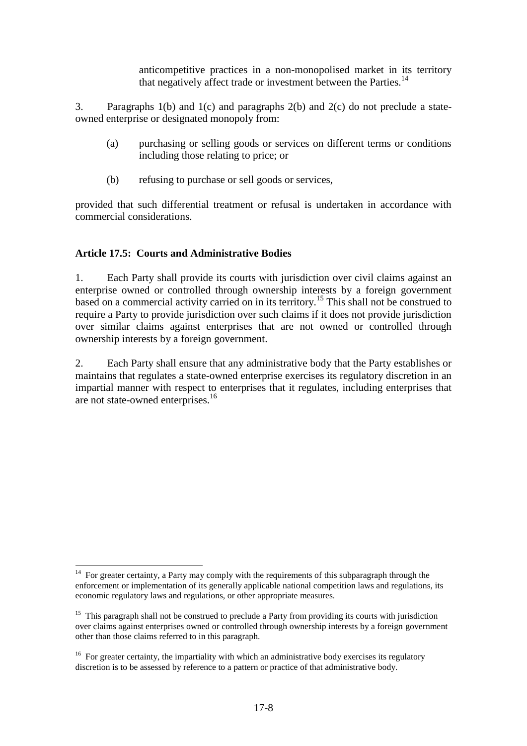anticompetitive practices in a non-monopolised market in its territory that negatively affect trade or investment between the Parties. $^{14}$ 

3. Paragraphs 1(b) and 1(c) and paragraphs 2(b) and 2(c) do not preclude a stateowned enterprise or designated monopoly from:

- (a) purchasing or selling goods or services on different terms or conditions including those relating to price; or
- (b) refusing to purchase or sell goods or services,

provided that such differential treatment or refusal is undertaken in accordance with commercial considerations.

# **Article 17.5: Courts and Administrative Bodies**

1

1. Each Party shall provide its courts with jurisdiction over civil claims against an enterprise owned or controlled through ownership interests by a foreign government based on a commercial activity carried on in its territory.<sup>15</sup> This shall not be construed to require a Party to provide jurisdiction over such claims if it does not provide jurisdiction over similar claims against enterprises that are not owned or controlled through ownership interests by a foreign government.

2. Each Party shall ensure that any administrative body that the Party establishes or maintains that regulates a state-owned enterprise exercises its regulatory discretion in an impartial manner with respect to enterprises that it regulates, including enterprises that are not state-owned enterprises.<sup>16</sup>

<sup>&</sup>lt;sup>14</sup> For greater certainty, a Party may comply with the requirements of this subparagraph through the enforcement or implementation of its generally applicable national competition laws and regulations, its economic regulatory laws and regulations, or other appropriate measures.

 $15$  This paragraph shall not be construed to preclude a Party from providing its courts with jurisdiction over claims against enterprises owned or controlled through ownership interests by a foreign government other than those claims referred to in this paragraph.

 $16$  For greater certainty, the impartiality with which an administrative body exercises its regulatory discretion is to be assessed by reference to a pattern or practice of that administrative body.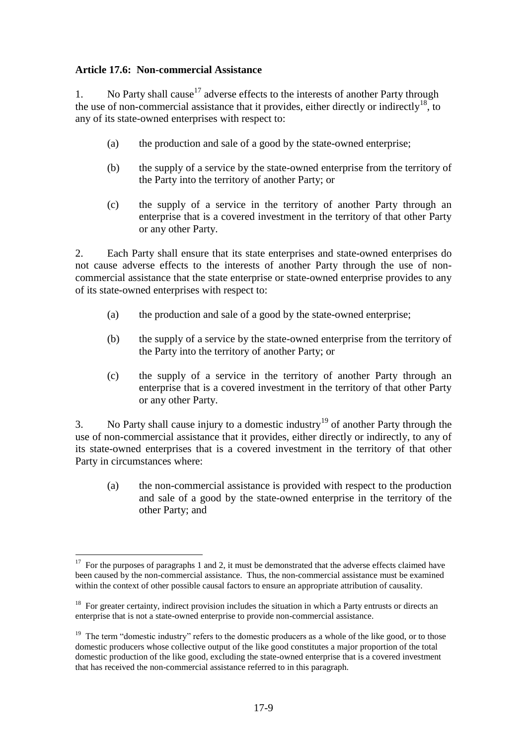# **Article 17.6: Non-commercial Assistance**

1. No Party shall cause<sup>17</sup> adverse effects to the interests of another Party through the use of non-commercial assistance that it provides, either directly or indirectly<sup>18</sup>, to any of its state-owned enterprises with respect to:

- (a) the production and sale of a good by the state-owned enterprise;
- (b) the supply of a service by the state-owned enterprise from the territory of the Party into the territory of another Party; or
- (c) the supply of a service in the territory of another Party through an enterprise that is a covered investment in the territory of that other Party or any other Party.

2. Each Party shall ensure that its state enterprises and state-owned enterprises do not cause adverse effects to the interests of another Party through the use of noncommercial assistance that the state enterprise or state-owned enterprise provides to any of its state-owned enterprises with respect to:

- (a) the production and sale of a good by the state-owned enterprise;
- (b) the supply of a service by the state-owned enterprise from the territory of the Party into the territory of another Party; or
- (c) the supply of a service in the territory of another Party through an enterprise that is a covered investment in the territory of that other Party or any other Party.

3. No Party shall cause injury to a domestic industry<sup>19</sup> of another Party through the use of non-commercial assistance that it provides, either directly or indirectly, to any of its state-owned enterprises that is a covered investment in the territory of that other Party in circumstances where:

(a) the non-commercial assistance is provided with respect to the production and sale of a good by the state-owned enterprise in the territory of the other Party; and

<u>.</u>

 $17$  For the purposes of paragraphs 1 and 2, it must be demonstrated that the adverse effects claimed have been caused by the non-commercial assistance.Thus, the non-commercial assistance must be examined within the context of other possible causal factors to ensure an appropriate attribution of causality.

<sup>&</sup>lt;sup>18</sup> For greater certainty, indirect provision includes the situation in which a Party entrusts or directs an enterprise that is not a state-owned enterprise to provide non-commercial assistance.

<sup>&</sup>lt;sup>19</sup> The term "domestic industry" refers to the domestic producers as a whole of the like good, or to those domestic producers whose collective output of the like good constitutes a major proportion of the total domestic production of the like good, excluding the state-owned enterprise that is a covered investment that has received the non-commercial assistance referred to in this paragraph.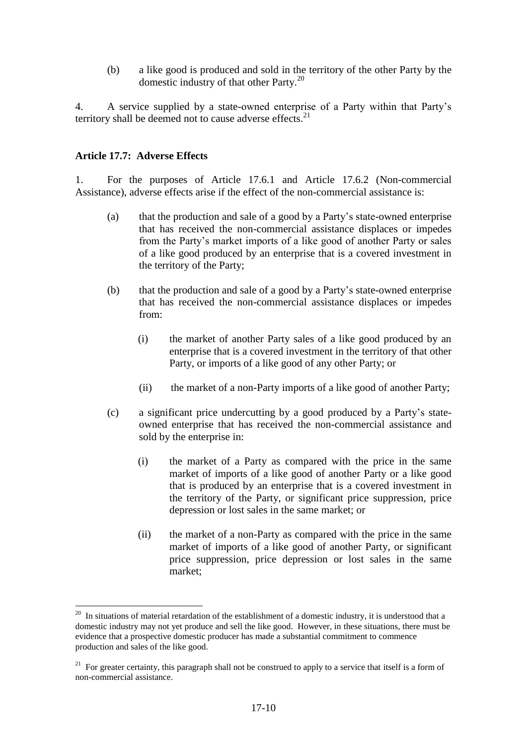(b) a like good is produced and sold in the territory of the other Party by the domestic industry of that other Party.<sup>20</sup>

4. A service supplied by a state-owned enterprise of a Party within that Party's territory shall be deemed not to cause adverse effects. $21$ 

### **Article 17.7: Adverse Effects**

1

1. For the purposes of Article 17.6.1 and Article 17.6.2 (Non-commercial Assistance), adverse effects arise if the effect of the non-commercial assistance is:

- (a) that the production and sale of a good by a Party's state-owned enterprise that has received the non-commercial assistance displaces or impedes from the Party's market imports of a like good of another Party or sales of a like good produced by an enterprise that is a covered investment in the territory of the Party;
- (b) that the production and sale of a good by a Party's state-owned enterprise that has received the non-commercial assistance displaces or impedes from:
	- (i) the market of another Party sales of a like good produced by an enterprise that is a covered investment in the territory of that other Party, or imports of a like good of any other Party; or
	- (ii) the market of a non-Party imports of a like good of another Party;
- (c) a significant price undercutting by a good produced by a Party's stateowned enterprise that has received the non-commercial assistance and sold by the enterprise in:
	- (i) the market of a Party as compared with the price in the same market of imports of a like good of another Party or a like good that is produced by an enterprise that is a covered investment in the territory of the Party, or significant price suppression, price depression or lost sales in the same market; or
	- (ii) the market of a non-Party as compared with the price in the same market of imports of a like good of another Party, or significant price suppression, price depression or lost sales in the same market;

<sup>&</sup>lt;sup>20</sup> In situations of material retardation of the establishment of a domestic industry, it is understood that a domestic industry may not yet produce and sell the like good. However, in these situations, there must be evidence that a prospective domestic producer has made a substantial commitment to commence production and sales of the like good.

<sup>&</sup>lt;sup>21</sup> For greater certainty, this paragraph shall not be construed to apply to a service that itself is a form of non-commercial assistance.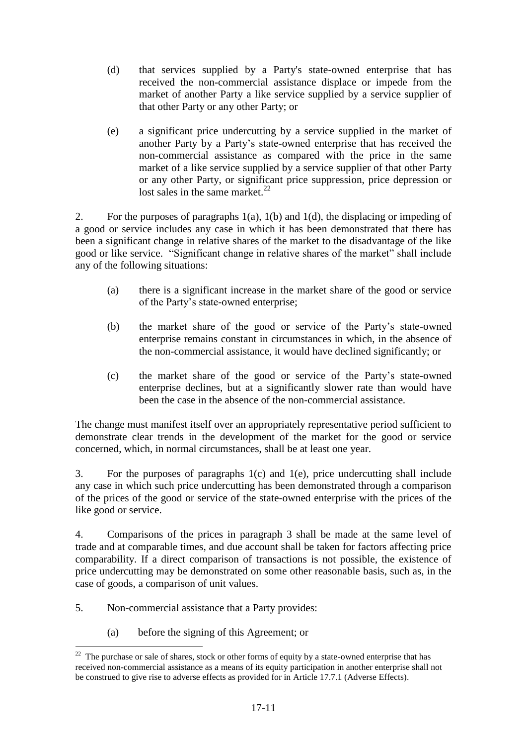- (d) that services supplied by a Party's state-owned enterprise that has received the non-commercial assistance displace or impede from the market of another Party a like service supplied by a service supplier of that other Party or any other Party; or
- (e) a significant price undercutting by a service supplied in the market of another Party by a Party's state-owned enterprise that has received the non-commercial assistance as compared with the price in the same market of a like service supplied by a service supplier of that other Party or any other Party, or significant price suppression, price depression or lost sales in the same market.<sup>22</sup>

2. For the purposes of paragraphs 1(a), 1(b) and 1(d), the displacing or impeding of a good or service includes any case in which it has been demonstrated that there has been a significant change in relative shares of the market to the disadvantage of the like good or like service. "Significant change in relative shares of the market" shall include any of the following situations:

- (a) there is a significant increase in the market share of the good or service of the Party's state-owned enterprise;
- (b) the market share of the good or service of the Party's state-owned enterprise remains constant in circumstances in which, in the absence of the non-commercial assistance, it would have declined significantly; or
- (c) the market share of the good or service of the Party's state-owned enterprise declines, but at a significantly slower rate than would have been the case in the absence of the non-commercial assistance.

The change must manifest itself over an appropriately representative period sufficient to demonstrate clear trends in the development of the market for the good or service concerned, which, in normal circumstances, shall be at least one year.

3. For the purposes of paragraphs 1(c) and 1(e), price undercutting shall include any case in which such price undercutting has been demonstrated through a comparison of the prices of the good or service of the state-owned enterprise with the prices of the like good or service.

4. Comparisons of the prices in paragraph 3 shall be made at the same level of trade and at comparable times, and due account shall be taken for factors affecting price comparability. If a direct comparison of transactions is not possible, the existence of price undercutting may be demonstrated on some other reasonable basis, such as, in the case of goods, a comparison of unit values.

5. Non-commercial assistance that a Party provides:

1

(a) before the signing of this Agreement; or

 $22$  The purchase or sale of shares, stock or other forms of equity by a state-owned enterprise that has received non-commercial assistance as a means of its equity participation in another enterprise shall not be construed to give rise to adverse effects as provided for in Article 17.7.1 (Adverse Effects).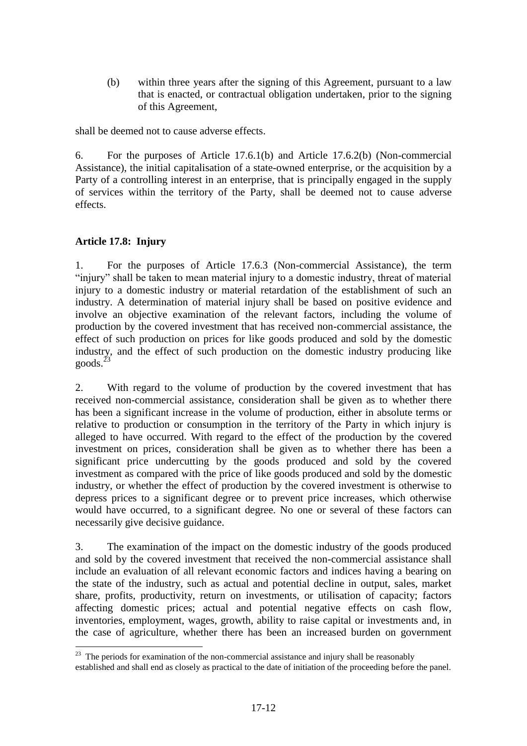(b) within three years after the signing of this Agreement, pursuant to a law that is enacted, or contractual obligation undertaken, prior to the signing of this Agreement,

shall be deemed not to cause adverse effects.

6. For the purposes of Article 17.6.1(b) and Article 17.6.2(b) (Non-commercial Assistance), the initial capitalisation of a state-owned enterprise, or the acquisition by a Party of a controlling interest in an enterprise, that is principally engaged in the supply of services within the territory of the Party, shall be deemed not to cause adverse effects.

# **Article 17.8: Injury**

1

1. For the purposes of Article 17.6.3 (Non-commercial Assistance), the term "injury" shall be taken to mean material injury to a domestic industry, threat of material injury to a domestic industry or material retardation of the establishment of such an industry. A determination of material injury shall be based on positive evidence and involve an objective examination of the relevant factors, including the volume of production by the covered investment that has received non-commercial assistance, the effect of such production on prices for like goods produced and sold by the domestic industry, and the effect of such production on the domestic industry producing like goods. 23

2. With regard to the volume of production by the covered investment that has received non-commercial assistance, consideration shall be given as to whether there has been a significant increase in the volume of production, either in absolute terms or relative to production or consumption in the territory of the Party in which injury is alleged to have occurred. With regard to the effect of the production by the covered investment on prices, consideration shall be given as to whether there has been a significant price undercutting by the goods produced and sold by the covered investment as compared with the price of like goods produced and sold by the domestic industry, or whether the effect of production by the covered investment is otherwise to depress prices to a significant degree or to prevent price increases, which otherwise would have occurred, to a significant degree. No one or several of these factors can necessarily give decisive guidance.

3. The examination of the impact on the domestic industry of the goods produced and sold by the covered investment that received the non-commercial assistance shall include an evaluation of all relevant economic factors and indices having a bearing on the state of the industry, such as actual and potential decline in output, sales, market share, profits, productivity, return on investments, or utilisation of capacity; factors affecting domestic prices; actual and potential negative effects on cash flow, inventories, employment, wages, growth, ability to raise capital or investments and, in the case of agriculture, whether there has been an increased burden on government

 $23$  The periods for examination of the non-commercial assistance and injury shall be reasonably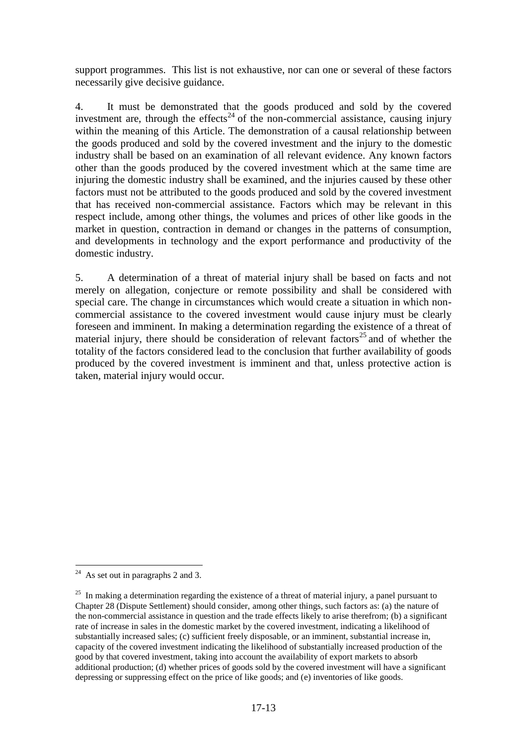support programmes. This list is not exhaustive, nor can one or several of these factors necessarily give decisive guidance.

4. It must be demonstrated that the goods produced and sold by the covered investment are, through the effects<sup>24</sup> of the non-commercial assistance, causing injury within the meaning of this Article. The demonstration of a causal relationship between the goods produced and sold by the covered investment and the injury to the domestic industry shall be based on an examination of all relevant evidence. Any known factors other than the goods produced by the covered investment which at the same time are injuring the domestic industry shall be examined, and the injuries caused by these other factors must not be attributed to the goods produced and sold by the covered investment that has received non-commercial assistance. Factors which may be relevant in this respect include, among other things, the volumes and prices of other like goods in the market in question, contraction in demand or changes in the patterns of consumption, and developments in technology and the export performance and productivity of the domestic industry.

5. A determination of a threat of material injury shall be based on facts and not merely on allegation, conjecture or remote possibility and shall be considered with special care. The change in circumstances which would create a situation in which noncommercial assistance to the covered investment would cause injury must be clearly foreseen and imminent. In making a determination regarding the existence of a threat of material injury, there should be consideration of relevant factors<sup>25</sup> and of whether the totality of the factors considered lead to the conclusion that further availability of goods produced by the covered investment is imminent and that, unless protective action is taken, material injury would occur.

1

 $24$  As set out in paragraphs 2 and 3.

 $25$  In making a determination regarding the existence of a threat of material injury, a panel pursuant to Chapter 28 (Dispute Settlement) should consider, among other things, such factors as: (a) the nature of the non-commercial assistance in question and the trade effects likely to arise therefrom; (b) a significant rate of increase in sales in the domestic market by the covered investment, indicating a likelihood of substantially increased sales; (c) sufficient freely disposable, or an imminent, substantial increase in, capacity of the covered investment indicating the likelihood of substantially increased production of the good by that covered investment, taking into account the availability of export markets to absorb additional production; (d) whether prices of goods sold by the covered investment will have a significant depressing or suppressing effect on the price of like goods; and (e) inventories of like goods.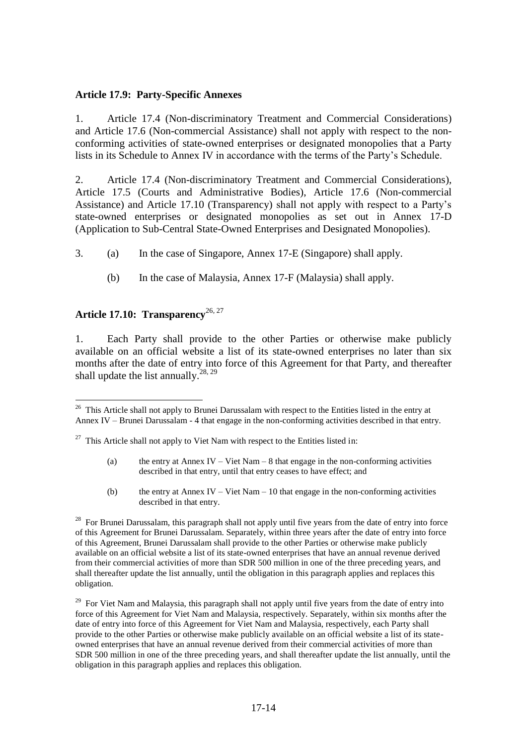### **Article 17.9: Party-Specific Annexes**

1. Article 17.4 (Non-discriminatory Treatment and Commercial Considerations) and Article 17.6 (Non-commercial Assistance) shall not apply with respect to the nonconforming activities of state-owned enterprises or designated monopolies that a Party lists in its Schedule to Annex IV in accordance with the terms of the Party's Schedule.

2. Article 17.4 (Non-discriminatory Treatment and Commercial Considerations), Article 17.5 (Courts and Administrative Bodies), Article 17.6 (Non-commercial Assistance) and Article 17.10 (Transparency) shall not apply with respect to a Party's state-owned enterprises or designated monopolies as set out in Annex 17-D (Application to Sub-Central State-Owned Enterprises and Designated Monopolies).

3. (a) In the case of Singapore, Annex 17-E (Singapore) shall apply.

(b) In the case of Malaysia, Annex 17-F (Malaysia) shall apply.

# Article 17.10: Transparency<sup>26, 27</sup>

<u>.</u>

1. Each Party shall provide to the other Parties or otherwise make publicly available on an official website a list of its state-owned enterprises no later than six months after the date of entry into force of this Agreement for that Party, and thereafter shall update the list annually.<sup>28, 29</sup>

- (a) the entry at Annex IV Viet Nam 8 that engage in the non-conforming activities described in that entry, until that entry ceases to have effect; and
- (b) the entry at Annex IV Viet Nam 10 that engage in the non-conforming activities described in that entry.

<sup>28</sup> For Brunei Darussalam, this paragraph shall not apply until five years from the date of entry into force of this Agreement for Brunei Darussalam. Separately, within three years after the date of entry into force of this Agreement, Brunei Darussalam shall provide to the other Parties or otherwise make publicly available on an official website a list of its state-owned enterprises that have an annual revenue derived from their commercial activities of more than SDR 500 million in one of the three preceding years, and shall thereafter update the list annually, until the obligation in this paragraph applies and replaces this obligation.

 $29$  For Viet Nam and Malaysia, this paragraph shall not apply until five years from the date of entry into force of this Agreement for Viet Nam and Malaysia, respectively. Separately, within six months after the date of entry into force of this Agreement for Viet Nam and Malaysia, respectively, each Party shall provide to the other Parties or otherwise make publicly available on an official website a list of its stateowned enterprises that have an annual revenue derived from their commercial activities of more than SDR 500 million in one of the three preceding years, and shall thereafter update the list annually, until the obligation in this paragraph applies and replaces this obligation.

<sup>&</sup>lt;sup>26</sup> This Article shall not apply to Brunei Darussalam with respect to the Entities listed in the entry at Annex IV – Brunei Darussalam - 4 that engage in the non-conforming activities described in that entry.

 $27$  This Article shall not apply to Viet Nam with respect to the Entities listed in: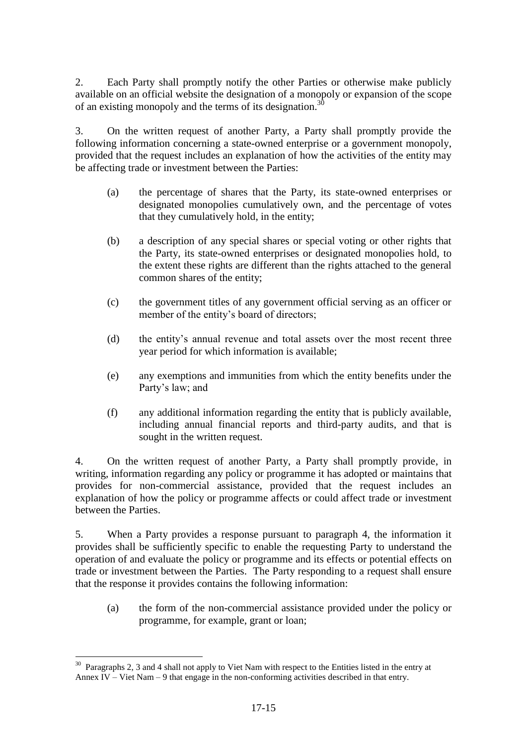2. Each Party shall promptly notify the other Parties or otherwise make publicly available on an official website the designation of a monopoly or expansion of the scope of an existing monopoly and the terms of its designation.<sup>30</sup>

3. On the written request of another Party, a Party shall promptly provide the following information concerning a state-owned enterprise or a government monopoly, provided that the request includes an explanation of how the activities of the entity may be affecting trade or investment between the Parties:

- (a) the percentage of shares that the Party, its state-owned enterprises or designated monopolies cumulatively own, and the percentage of votes that they cumulatively hold, in the entity;
- (b) a description of any special shares or special voting or other rights that the Party, its state-owned enterprises or designated monopolies hold, to the extent these rights are different than the rights attached to the general common shares of the entity;
- (c) the government titles of any government official serving as an officer or member of the entity's board of directors;
- (d) the entity's annual revenue and total assets over the most recent three year period for which information is available;
- (e) any exemptions and immunities from which the entity benefits under the Party's law; and
- (f) any additional information regarding the entity that is publicly available, including annual financial reports and third-party audits, and that is sought in the written request.

4. On the written request of another Party, a Party shall promptly provide, in writing, information regarding any policy or programme it has adopted or maintains that provides for non-commercial assistance, provided that the request includes an explanation of how the policy or programme affects or could affect trade or investment between the Parties.

5. When a Party provides a response pursuant to paragraph 4, the information it provides shall be sufficiently specific to enable the requesting Party to understand the operation of and evaluate the policy or programme and its effects or potential effects on trade or investment between the Parties. The Party responding to a request shall ensure that the response it provides contains the following information:

(a) the form of the non-commercial assistance provided under the policy or programme, for example, grant or loan;

 $30\,$ Paragraphs 2, 3 and 4 shall not apply to Viet Nam with respect to the Entities listed in the entry at Annex  $\overline{IV}$  – Viet Nam – 9 that engage in the non-conforming activities described in that entry.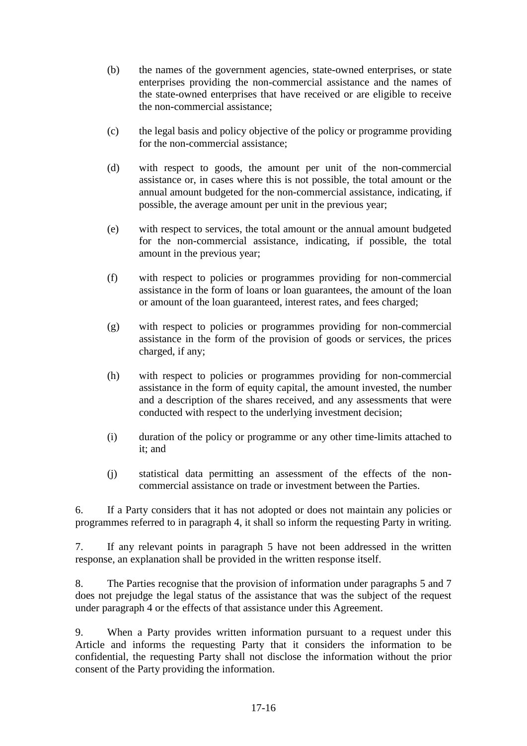- (b) the names of the government agencies, state-owned enterprises, or state enterprises providing the non-commercial assistance and the names of the state-owned enterprises that have received or are eligible to receive the non-commercial assistance;
- (c) the legal basis and policy objective of the policy or programme providing for the non-commercial assistance;
- (d) with respect to goods, the amount per unit of the non-commercial assistance or, in cases where this is not possible, the total amount or the annual amount budgeted for the non-commercial assistance, indicating, if possible, the average amount per unit in the previous year;
- (e) with respect to services, the total amount or the annual amount budgeted for the non-commercial assistance, indicating, if possible, the total amount in the previous year;
- (f) with respect to policies or programmes providing for non-commercial assistance in the form of loans or loan guarantees, the amount of the loan or amount of the loan guaranteed, interest rates, and fees charged;
- (g) with respect to policies or programmes providing for non-commercial assistance in the form of the provision of goods or services, the prices charged, if any;
- (h) with respect to policies or programmes providing for non-commercial assistance in the form of equity capital, the amount invested, the number and a description of the shares received, and any assessments that were conducted with respect to the underlying investment decision;
- (i) duration of the policy or programme or any other time-limits attached to it; and
- (j) statistical data permitting an assessment of the effects of the noncommercial assistance on trade or investment between the Parties.

6. If a Party considers that it has not adopted or does not maintain any policies or programmes referred to in paragraph 4, it shall so inform the requesting Party in writing.

7. If any relevant points in paragraph 5 have not been addressed in the written response, an explanation shall be provided in the written response itself.

8. The Parties recognise that the provision of information under paragraphs 5 and 7 does not prejudge the legal status of the assistance that was the subject of the request under paragraph 4 or the effects of that assistance under this Agreement.

9. When a Party provides written information pursuant to a request under this Article and informs the requesting Party that it considers the information to be confidential, the requesting Party shall not disclose the information without the prior consent of the Party providing the information.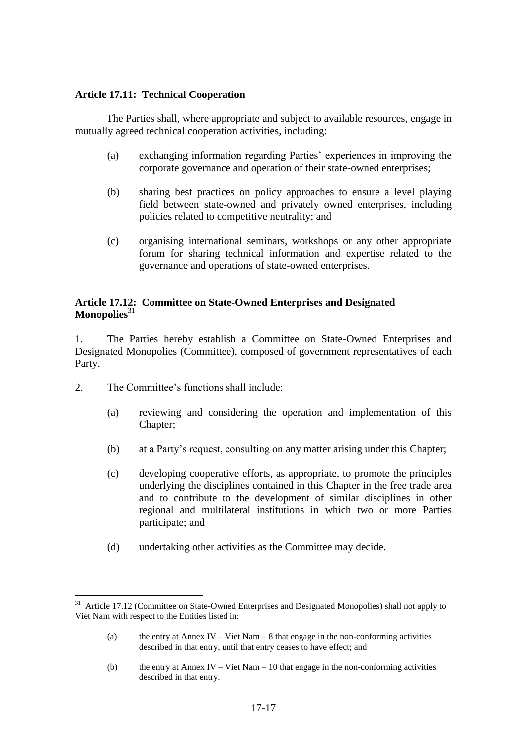### **Article 17.11: Technical Cooperation**

The Parties shall, where appropriate and subject to available resources, engage in mutually agreed technical cooperation activities, including:

- (a) exchanging information regarding Parties' experiences in improving the corporate governance and operation of their state-owned enterprises;
- (b) sharing best practices on policy approaches to ensure a level playing field between state-owned and privately owned enterprises, including policies related to competitive neutrality; and
- (c) organising international seminars, workshops or any other appropriate forum for sharing technical information and expertise related to the governance and operations of state-owned enterprises.

# **Article 17.12: Committee on State-Owned Enterprises and Designated Monopolies**<sup>31</sup>

1. The Parties hereby establish a Committee on State-Owned Enterprises and Designated Monopolies (Committee), composed of government representatives of each Party.

2. The Committee's functions shall include:

<u>.</u>

- (a) reviewing and considering the operation and implementation of this Chapter;
- (b) at a Party's request, consulting on any matter arising under this Chapter;
- (c) developing cooperative efforts, as appropriate, to promote the principles underlying the disciplines contained in this Chapter in the free trade area and to contribute to the development of similar disciplines in other regional and multilateral institutions in which two or more Parties participate; and
- (d) undertaking other activities as the Committee may decide.

<sup>&</sup>lt;sup>31</sup> Article 17.12 (Committee on State-Owned Enterprises and Designated Monopolies) shall not apply to Viet Nam with respect to the Entities listed in:

<sup>(</sup>a) the entry at Annex IV – Viet Nam – 8 that engage in the non-conforming activities described in that entry, until that entry ceases to have effect; and

<sup>(</sup>b) the entry at Annex IV – Viet Nam – 10 that engage in the non-conforming activities described in that entry.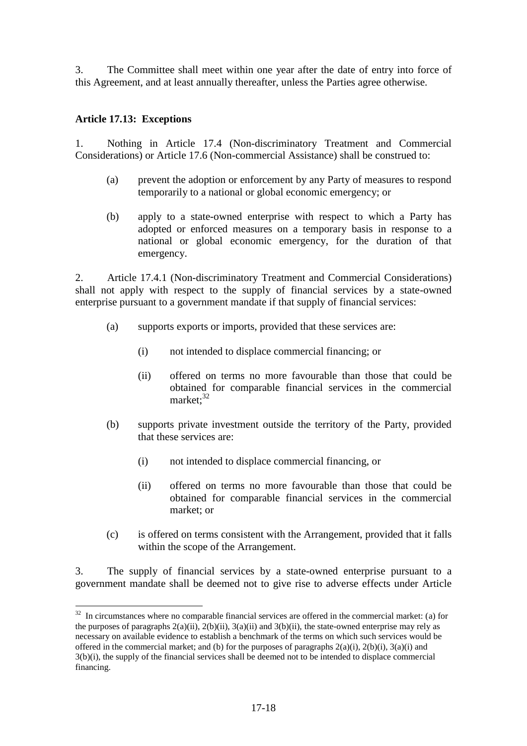3. The Committee shall meet within one year after the date of entry into force of this Agreement, and at least annually thereafter, unless the Parties agree otherwise.

# **Article 17.13: Exceptions**

1

1. Nothing in Article 17.4 (Non-discriminatory Treatment and Commercial Considerations) or Article 17.6 (Non-commercial Assistance) shall be construed to:

- (a) prevent the adoption or enforcement by any Party of measures to respond temporarily to a national or global economic emergency; or
- (b) apply to a state-owned enterprise with respect to which a Party has adopted or enforced measures on a temporary basis in response to a national or global economic emergency, for the duration of that emergency.

2. Article 17.4.1 (Non-discriminatory Treatment and Commercial Considerations) shall not apply with respect to the supply of financial services by a state-owned enterprise pursuant to a government mandate if that supply of financial services:

- (a) supports exports or imports, provided that these services are:
	- (i) not intended to displace commercial financing; or
	- (ii) offered on terms no more favourable than those that could be obtained for comparable financial services in the commercial market; 32
- (b) supports private investment outside the territory of the Party, provided that these services are:
	- (i) not intended to displace commercial financing, or
	- (ii) offered on terms no more favourable than those that could be obtained for comparable financial services in the commercial market; or
- (c) is offered on terms consistent with the Arrangement, provided that it falls within the scope of the Arrangement.

3. The supply of financial services by a state-owned enterprise pursuant to a government mandate shall be deemed not to give rise to adverse effects under Article

 $32$  In circumstances where no comparable financial services are offered in the commercial market: (a) for the purposes of paragraphs  $2(a)(ii)$ ,  $2(b)(ii)$ ,  $3(a)(ii)$  and  $3(b)(ii)$ , the state-owned enterprise may rely as necessary on available evidence to establish a benchmark of the terms on which such services would be offered in the commercial market; and (b) for the purposes of paragraphs  $2(a)(i)$ ,  $2(b)(i)$ ,  $3(a)(i)$  and 3(b)(i), the supply of the financial services shall be deemed not to be intended to displace commercial financing.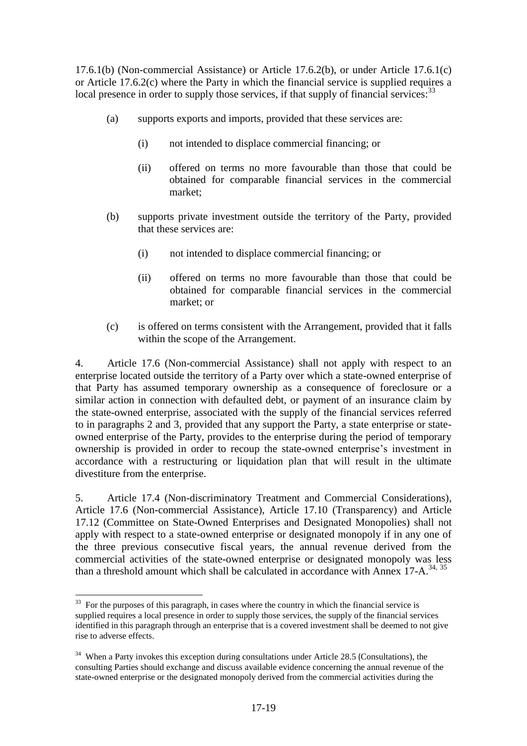17.6.1(b) (Non-commercial Assistance) or Article 17.6.2(b), or under Article 17.6.1(c) or Article 17.6.2(c) where the Party in which the financial service is supplied requires a local presence in order to supply those services, if that supply of financial services:<sup>33</sup>

- (a) supports exports and imports, provided that these services are:
	- (i) not intended to displace commercial financing; or
	- (ii) offered on terms no more favourable than those that could be obtained for comparable financial services in the commercial market;
- (b) supports private investment outside the territory of the Party, provided that these services are:
	- (i) not intended to displace commercial financing; or
	- (ii) offered on terms no more favourable than those that could be obtained for comparable financial services in the commercial market; or
- (c) is offered on terms consistent with the Arrangement, provided that it falls within the scope of the Arrangement.

4. Article 17.6 (Non-commercial Assistance) shall not apply with respect to an enterprise located outside the territory of a Party over which a state-owned enterprise of that Party has assumed temporary ownership as a consequence of foreclosure or a similar action in connection with defaulted debt, or payment of an insurance claim by the state-owned enterprise, associated with the supply of the financial services referred to in paragraphs 2 and 3, provided that any support the Party, a state enterprise or stateowned enterprise of the Party, provides to the enterprise during the period of temporary ownership is provided in order to recoup the state-owned enterprise's investment in accordance with a restructuring or liquidation plan that will result in the ultimate divestiture from the enterprise.

5. Article 17.4 (Non-discriminatory Treatment and Commercial Considerations), Article 17.6 (Non-commercial Assistance), Article 17.10 (Transparency) and Article 17.12 (Committee on State-Owned Enterprises and Designated Monopolies) shall not apply with respect to a state-owned enterprise or designated monopoly if in any one of the three previous consecutive fiscal years, the annual revenue derived from the commercial activities of the state-owned enterprise or designated monopoly was less than a threshold amount which shall be calculated in accordance with Annex  $17-A$ <sup>34, 35</sup>

1

 $33$  For the purposes of this paragraph, in cases where the country in which the financial service is supplied requires a local presence in order to supply those services, the supply of the financial services identified in this paragraph through an enterprise that is a covered investment shall be deemed to not give rise to adverse effects.

<sup>&</sup>lt;sup>34</sup> When a Party invokes this exception during consultations under Article 28.5 (Consultations), the consulting Parties should exchange and discuss available evidence concerning the annual revenue of the state-owned enterprise or the designated monopoly derived from the commercial activities during the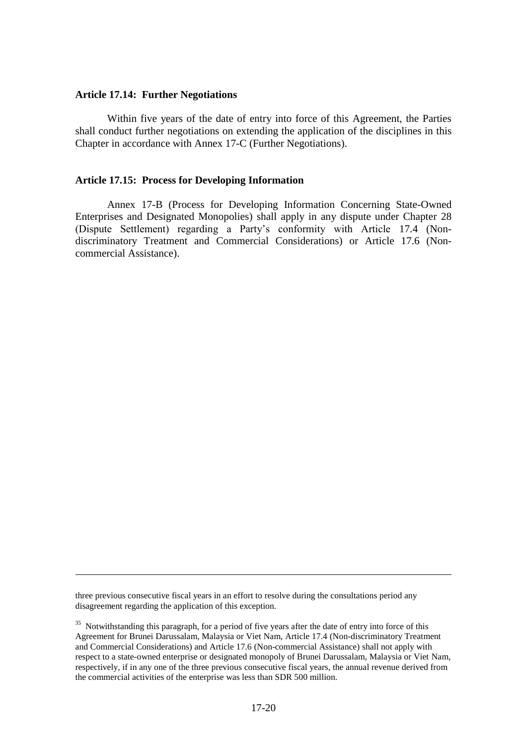#### **Article 17.14: Further Negotiations**

1

Within five years of the date of entry into force of this Agreement, the Parties shall conduct further negotiations on extending the application of the disciplines in this Chapter in accordance with Annex 17-C (Further Negotiations).

### **Article 17.15: Process for Developing Information**

Annex 17-B (Process for Developing Information Concerning State-Owned Enterprises and Designated Monopolies) shall apply in any dispute under Chapter 28 (Dispute Settlement) regarding a Party's conformity with Article 17.4 (Nondiscriminatory Treatment and Commercial Considerations) or Article 17.6 (Noncommercial Assistance).

three previous consecutive fiscal years in an effort to resolve during the consultations period any disagreement regarding the application of this exception.

<sup>&</sup>lt;sup>35</sup> Notwithstanding this paragraph, for a period of five years after the date of entry into force of this Agreement for Brunei Darussalam, Malaysia or Viet Nam, Article 17.4 (Non-discriminatory Treatment and Commercial Considerations) and Article 17.6 (Non-commercial Assistance) shall not apply with respect to a state-owned enterprise or designated monopoly of Brunei Darussalam, Malaysia or Viet Nam, respectively, if in any one of the three previous consecutive fiscal years, the annual revenue derived from the commercial activities of the enterprise was less than SDR 500 million.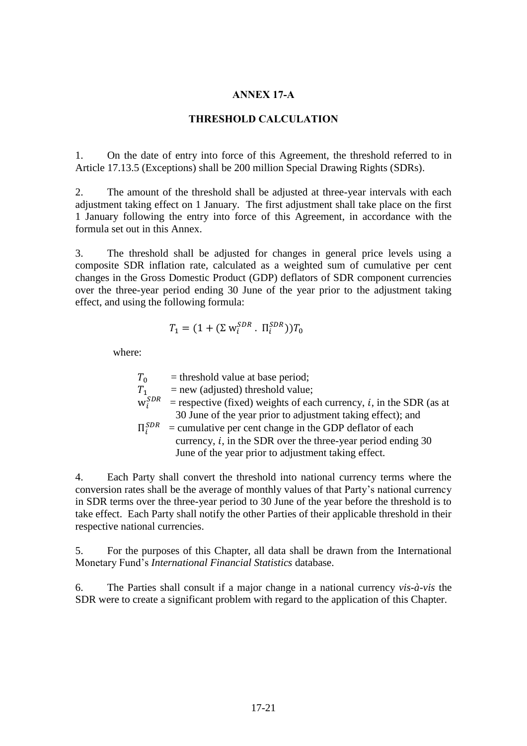#### **ANNEX 17-A**

#### **THRESHOLD CALCULATION**

1. On the date of entry into force of this Agreement, the threshold referred to in Article 17.13.5 (Exceptions) shall be 200 million Special Drawing Rights (SDRs).

2. The amount of the threshold shall be adjusted at three-year intervals with each adjustment taking effect on 1 January. The first adjustment shall take place on the first 1 January following the entry into force of this Agreement, in accordance with the formula set out in this Annex.

3. The threshold shall be adjusted for changes in general price levels using a composite SDR inflation rate, calculated as a weighted sum of cumulative per cent changes in the Gross Domestic Product (GDP) deflators of SDR component currencies over the three-year period ending 30 June of the year prior to the adjustment taking effect, and using the following formula:

$$
T_1 = (1 + (\Sigma \mathbf{w}_i^{SDR} \cdot \Pi_i^{SDR})) T_0
$$

where:

 $T_0$  = threshold value at base period;<br> $T_1$  = new (adjusted) threshold value;  $T_1$  = new (adjusted) threshold value;  $w_i^{SDR}$  = respective (fixed) weights of each currency, *i*, in the SDR (as at 30 June of the year prior to adjustment taking effect); and  $\Pi_i^{SDR}$  = cumulative per cent change in the GDP deflator of each currency,  $i$ , in the SDR over the three-year period ending 30 June of the year prior to adjustment taking effect.

4. Each Party shall convert the threshold into national currency terms where the conversion rates shall be the average of monthly values of that Party's national currency in SDR terms over the three-year period to 30 June of the year before the threshold is to take effect. Each Party shall notify the other Parties of their applicable threshold in their respective national currencies.

5. For the purposes of this Chapter, all data shall be drawn from the International Monetary Fund's *International Financial Statistics* database.

6. The Parties shall consult if a major change in a national currency *vis-à-vis* the SDR were to create a significant problem with regard to the application of this Chapter.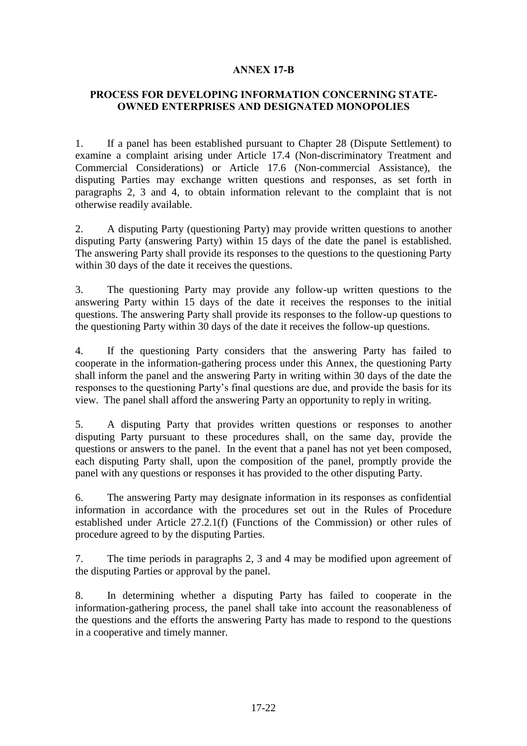# **ANNEX 17-B**

# **PROCESS FOR DEVELOPING INFORMATION CONCERNING STATE-OWNED ENTERPRISES AND DESIGNATED MONOPOLIES**

1. If a panel has been established pursuant to Chapter 28 (Dispute Settlement) to examine a complaint arising under Article 17.4 (Non-discriminatory Treatment and Commercial Considerations) or Article 17.6 (Non-commercial Assistance), the disputing Parties may exchange written questions and responses, as set forth in paragraphs 2, 3 and 4, to obtain information relevant to the complaint that is not otherwise readily available.

2. A disputing Party (questioning Party) may provide written questions to another disputing Party (answering Party) within 15 days of the date the panel is established. The answering Party shall provide its responses to the questions to the questioning Party within 30 days of the date it receives the questions.

3. The questioning Party may provide any follow-up written questions to the answering Party within 15 days of the date it receives the responses to the initial questions. The answering Party shall provide its responses to the follow-up questions to the questioning Party within 30 days of the date it receives the follow-up questions.

4. If the questioning Party considers that the answering Party has failed to cooperate in the information-gathering process under this Annex, the questioning Party shall inform the panel and the answering Party in writing within 30 days of the date the responses to the questioning Party's final questions are due, and provide the basis for its view. The panel shall afford the answering Party an opportunity to reply in writing.

5. A disputing Party that provides written questions or responses to another disputing Party pursuant to these procedures shall, on the same day, provide the questions or answers to the panel. In the event that a panel has not yet been composed, each disputing Party shall, upon the composition of the panel, promptly provide the panel with any questions or responses it has provided to the other disputing Party.

6. The answering Party may designate information in its responses as confidential information in accordance with the procedures set out in the Rules of Procedure established under Article 27.2.1(f) (Functions of the Commission) or other rules of procedure agreed to by the disputing Parties.

7. The time periods in paragraphs 2, 3 and 4 may be modified upon agreement of the disputing Parties or approval by the panel.

8. In determining whether a disputing Party has failed to cooperate in the information-gathering process, the panel shall take into account the reasonableness of the questions and the efforts the answering Party has made to respond to the questions in a cooperative and timely manner.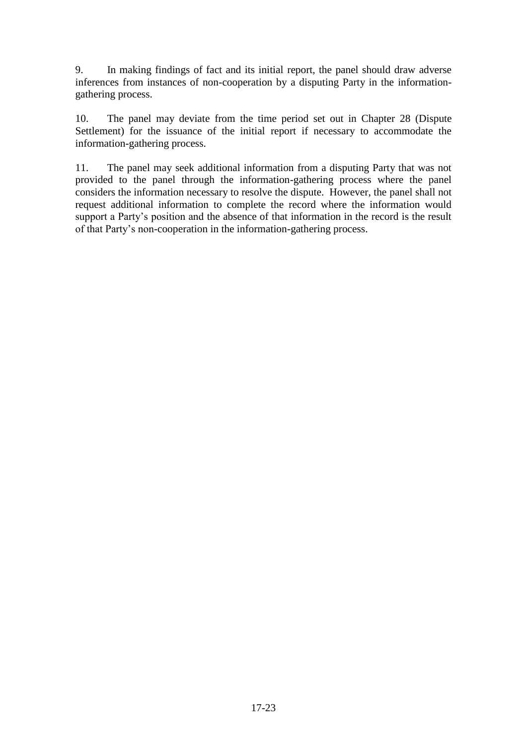9. In making findings of fact and its initial report, the panel should draw adverse inferences from instances of non-cooperation by a disputing Party in the informationgathering process.

10. The panel may deviate from the time period set out in Chapter 28 (Dispute Settlement) for the issuance of the initial report if necessary to accommodate the information-gathering process.

11. The panel may seek additional information from a disputing Party that was not provided to the panel through the information-gathering process where the panel considers the information necessary to resolve the dispute. However, the panel shall not request additional information to complete the record where the information would support a Party's position and the absence of that information in the record is the result of that Party's non-cooperation in the information-gathering process.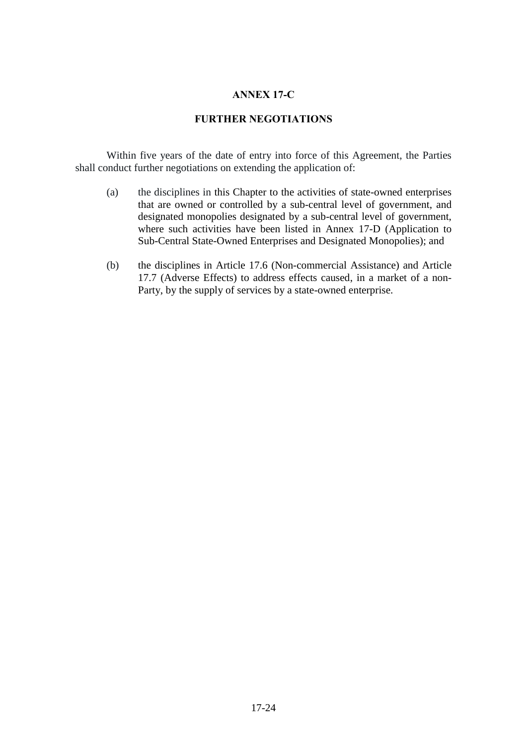# **ANNEX 17-C**

### **FURTHER NEGOTIATIONS**

Within five years of the date of entry into force of this Agreement, the Parties shall conduct further negotiations on extending the application of:

- (a) the disciplines in this Chapter to the activities of state-owned enterprises that are owned or controlled by a sub-central level of government, and designated monopolies designated by a sub-central level of government, where such activities have been listed in Annex 17-D (Application to Sub-Central State-Owned Enterprises and Designated Monopolies); and
- (b) the disciplines in Article 17.6 (Non-commercial Assistance) and Article 17.7 (Adverse Effects) to address effects caused, in a market of a non-Party, by the supply of services by a state-owned enterprise.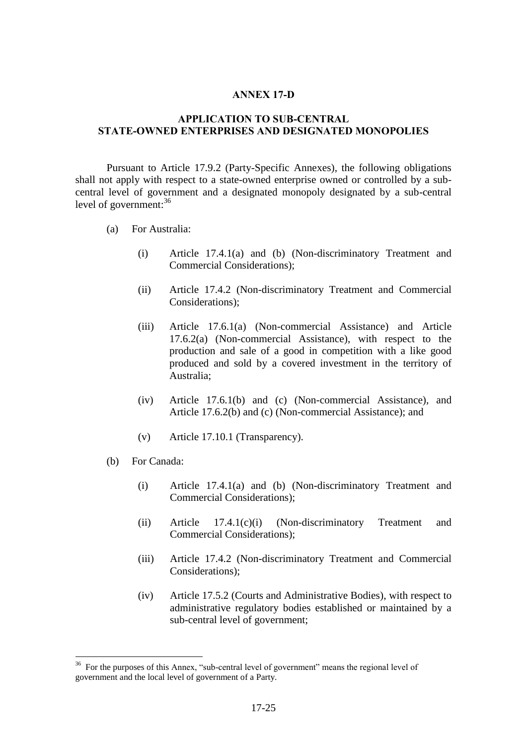#### **ANNEX 17-D**

## **APPLICATION TO SUB-CENTRAL STATE-OWNED ENTERPRISES AND DESIGNATED MONOPOLIES**

Pursuant to Article 17.9.2 (Party-Specific Annexes), the following obligations shall not apply with respect to a state-owned enterprise owned or controlled by a subcentral level of government and a designated monopoly designated by a sub-central level of government: 36

- (a) For Australia:
	- (i) Article 17.4.1(a) and (b) (Non-discriminatory Treatment and Commercial Considerations);
	- (ii) Article 17.4.2 (Non-discriminatory Treatment and Commercial Considerations);
	- (iii) Article 17.6.1(a) (Non-commercial Assistance) and Article 17.6.2(a) (Non-commercial Assistance), with respect to the production and sale of a good in competition with a like good produced and sold by a covered investment in the territory of Australia;
	- (iv) Article 17.6.1(b) and (c) (Non-commercial Assistance), and Article 17.6.2(b) and (c) (Non-commercial Assistance); and
	- (v) Article 17.10.1 (Transparency).
- (b) For Canada:

1

- (i) Article 17.4.1(a) and (b) (Non-discriminatory Treatment and Commercial Considerations);
- (ii) Article 17.4.1(c)(i) (Non-discriminatory Treatment and Commercial Considerations);
- (iii) Article 17.4.2 (Non-discriminatory Treatment and Commercial Considerations);
- (iv) Article 17.5.2 (Courts and Administrative Bodies), with respect to administrative regulatory bodies established or maintained by a sub-central level of government;

<sup>36</sup> For the purposes of this Annex, "sub-central level of government" means the regional level of government and the local level of government of a Party.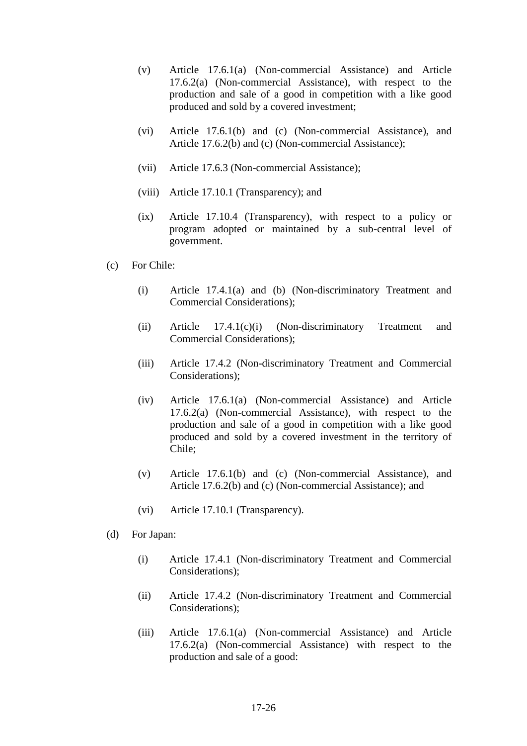- (v) Article 17.6.1(a) (Non-commercial Assistance) and Article 17.6.2(a) (Non-commercial Assistance), with respect to the production and sale of a good in competition with a like good produced and sold by a covered investment;
- (vi) Article 17.6.1(b) and (c) (Non-commercial Assistance), and Article 17.6.2(b) and (c) (Non-commercial Assistance);
- (vii) Article 17.6.3 (Non-commercial Assistance);
- (viii) Article 17.10.1 (Transparency); and
- (ix) Article 17.10.4 (Transparency), with respect to a policy or program adopted or maintained by a sub-central level of government.
- (c) For Chile:
	- (i) Article 17.4.1(a) and (b) (Non-discriminatory Treatment and Commercial Considerations);
	- (ii) Article 17.4.1(c)(i) (Non-discriminatory Treatment and Commercial Considerations);
	- (iii) Article 17.4.2 (Non-discriminatory Treatment and Commercial Considerations);
	- (iv) Article 17.6.1(a) (Non-commercial Assistance) and Article 17.6.2(a) (Non-commercial Assistance), with respect to the production and sale of a good in competition with a like good produced and sold by a covered investment in the territory of Chile;
	- (v) Article 17.6.1(b) and (c) (Non-commercial Assistance), and Article 17.6.2(b) and (c) (Non-commercial Assistance); and
	- (vi) Article 17.10.1 (Transparency).
- (d) For Japan:
	- (i) Article 17.4.1 (Non-discriminatory Treatment and Commercial Considerations);
	- (ii) Article 17.4.2 (Non-discriminatory Treatment and Commercial Considerations);
	- (iii) Article 17.6.1(a) (Non-commercial Assistance) and Article 17.6.2(a) (Non-commercial Assistance) with respect to the production and sale of a good: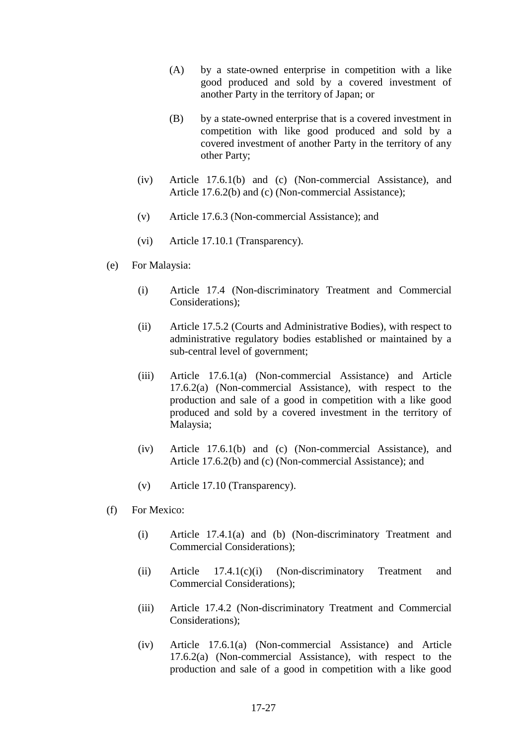- (A) by a state-owned enterprise in competition with a like good produced and sold by a covered investment of another Party in the territory of Japan; or
- (B) by a state-owned enterprise that is a covered investment in competition with like good produced and sold by a covered investment of another Party in the territory of any other Party;
- (iv) Article 17.6.1(b) and (c) (Non-commercial Assistance), and Article 17.6.2(b) and (c) (Non-commercial Assistance);
- (v) Article 17.6.3 (Non-commercial Assistance); and
- (vi) Article 17.10.1 (Transparency).
- (e) For Malaysia:
	- (i) Article 17.4 (Non-discriminatory Treatment and Commercial Considerations);
	- (ii) Article 17.5.2 (Courts and Administrative Bodies), with respect to administrative regulatory bodies established or maintained by a sub-central level of government;
	- (iii) Article 17.6.1(a) (Non-commercial Assistance) and Article 17.6.2(a) (Non-commercial Assistance), with respect to the production and sale of a good in competition with a like good produced and sold by a covered investment in the territory of Malaysia;
	- (iv) Article 17.6.1(b) and (c) (Non-commercial Assistance), and Article 17.6.2(b) and (c) (Non-commercial Assistance); and
	- (v) Article 17.10 (Transparency).
- (f) For Mexico:
	- (i) Article 17.4.1(a) and (b) (Non-discriminatory Treatment and Commercial Considerations);
	- (ii) Article 17.4.1(c)(i) (Non-discriminatory Treatment and Commercial Considerations);
	- (iii) Article 17.4.2 (Non-discriminatory Treatment and Commercial Considerations);
	- (iv) Article 17.6.1(a) (Non-commercial Assistance) and Article 17.6.2(a) (Non-commercial Assistance), with respect to the production and sale of a good in competition with a like good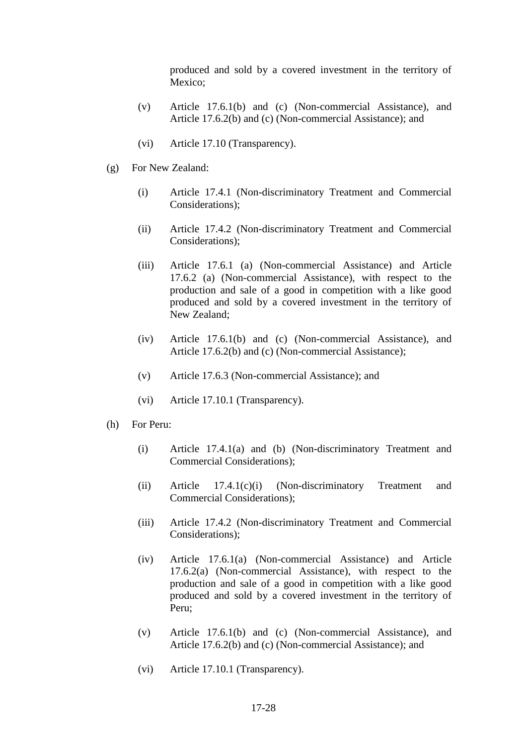produced and sold by a covered investment in the territory of Mexico:

- (v) Article 17.6.1(b) and (c) (Non-commercial Assistance), and Article 17.6.2(b) and (c) (Non-commercial Assistance); and
- (vi) Article 17.10 (Transparency).
- (g) For New Zealand:
	- (i) Article 17.4.1 (Non-discriminatory Treatment and Commercial Considerations);
	- (ii) Article 17.4.2 (Non-discriminatory Treatment and Commercial Considerations);
	- (iii) Article 17.6.1 (a) (Non-commercial Assistance) and Article 17.6.2 (a) (Non-commercial Assistance), with respect to the production and sale of a good in competition with a like good produced and sold by a covered investment in the territory of New Zealand;
	- (iv) Article 17.6.1(b) and (c) (Non-commercial Assistance), and Article 17.6.2(b) and (c) (Non-commercial Assistance);
	- (v) Article 17.6.3 (Non-commercial Assistance); and
	- (vi) Article 17.10.1 (Transparency).
- (h) For Peru:
	- (i) Article 17.4.1(a) and (b) (Non-discriminatory Treatment and Commercial Considerations);
	- (ii) Article 17.4.1(c)(i) (Non-discriminatory Treatment and Commercial Considerations);
	- (iii) Article 17.4.2 (Non-discriminatory Treatment and Commercial Considerations);
	- (iv) Article 17.6.1(a) (Non-commercial Assistance) and Article 17.6.2(a) (Non-commercial Assistance), with respect to the production and sale of a good in competition with a like good produced and sold by a covered investment in the territory of Peru;
	- (v) Article 17.6.1(b) and (c) (Non-commercial Assistance), and Article 17.6.2(b) and (c) (Non-commercial Assistance); and
	- (vi) Article 17.10.1 (Transparency).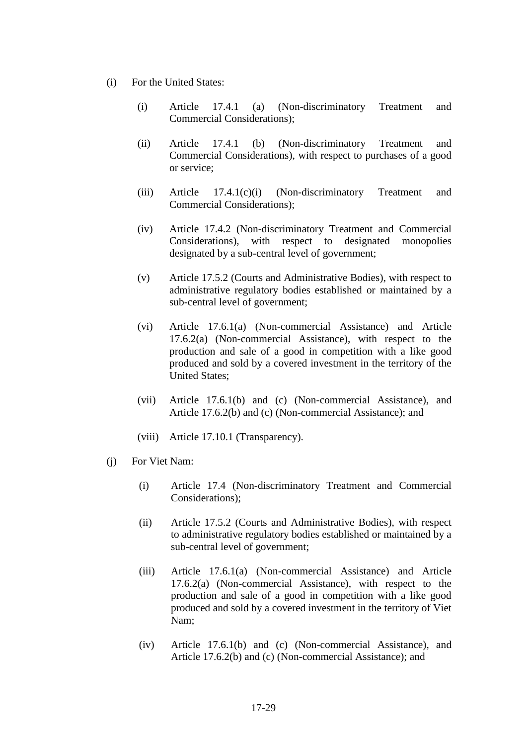- (i) For the United States:
	- (i) Article 17.4.1 (a) (Non-discriminatory Treatment and Commercial Considerations);
	- (ii) Article 17.4.1 (b) (Non-discriminatory Treatment and Commercial Considerations), with respect to purchases of a good or service;
	- (iii) Article 17.4.1(c)(i) (Non-discriminatory Treatment and Commercial Considerations);
	- (iv) Article 17.4.2 (Non-discriminatory Treatment and Commercial Considerations), with respect to designated monopolies designated by a sub-central level of government;
	- (v) Article 17.5.2 (Courts and Administrative Bodies), with respect to administrative regulatory bodies established or maintained by a sub-central level of government;
	- (vi) Article 17.6.1(a) (Non-commercial Assistance) and Article 17.6.2(a) (Non-commercial Assistance), with respect to the production and sale of a good in competition with a like good produced and sold by a covered investment in the territory of the United States;
	- (vii) Article 17.6.1(b) and (c) (Non-commercial Assistance), and Article 17.6.2(b) and (c) (Non-commercial Assistance); and
	- (viii) Article 17.10.1 (Transparency).
- (j) For Viet Nam:
	- (i) Article 17.4 (Non-discriminatory Treatment and Commercial Considerations);
	- (ii) Article 17.5.2 (Courts and Administrative Bodies), with respect to administrative regulatory bodies established or maintained by a sub-central level of government;
	- (iii) Article 17.6.1(a) (Non-commercial Assistance) and Article 17.6.2(a) (Non-commercial Assistance), with respect to the production and sale of a good in competition with a like good produced and sold by a covered investment in the territory of Viet Nam;
	- (iv) Article 17.6.1(b) and (c) (Non-commercial Assistance), and Article 17.6.2(b) and (c) (Non-commercial Assistance); and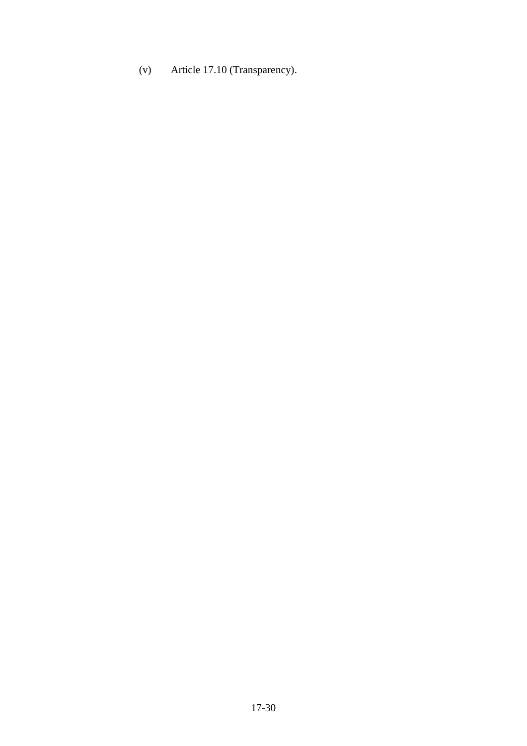(v) Article 17.10 (Transparency).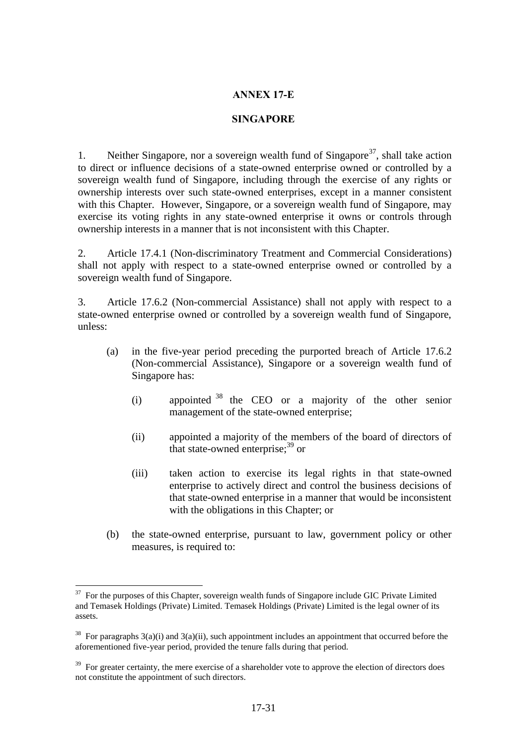### **ANNEX 17-E**

### **SINGAPORE**

1. Neither Singapore, nor a sovereign wealth fund of Singapore<sup>37</sup>, shall take action to direct or influence decisions of a state-owned enterprise owned or controlled by a sovereign wealth fund of Singapore, including through the exercise of any rights or ownership interests over such state-owned enterprises, except in a manner consistent with this Chapter. However, Singapore, or a sovereign wealth fund of Singapore, may exercise its voting rights in any state-owned enterprise it owns or controls through ownership interests in a manner that is not inconsistent with this Chapter.

2. Article 17.4.1 (Non-discriminatory Treatment and Commercial Considerations) shall not apply with respect to a state-owned enterprise owned or controlled by a sovereign wealth fund of Singapore.

3. Article 17.6.2 (Non-commercial Assistance) shall not apply with respect to a state-owned enterprise owned or controlled by a sovereign wealth fund of Singapore, unless:

- (a) in the five-year period preceding the purported breach of Article 17.6.2 (Non-commercial Assistance), Singapore or a sovereign wealth fund of Singapore has:
	- (i) appointed <sup>38</sup> the CEO or a majority of the other senior management of the state-owned enterprise;
	- (ii) appointed a majority of the members of the board of directors of that state-owned enterprise; $39$  or
	- (iii) taken action to exercise its legal rights in that state-owned enterprise to actively direct and control the business decisions of that state-owned enterprise in a manner that would be inconsistent with the obligations in this Chapter; or
- (b) the state-owned enterprise, pursuant to law, government policy or other measures, is required to:

1

 $37$  For the purposes of this Chapter, sovereign wealth funds of Singapore include GIC Private Limited and Temasek Holdings (Private) Limited. Temasek Holdings (Private) Limited is the legal owner of its assets.

<sup>&</sup>lt;sup>38</sup> For paragraphs  $3(a)(i)$  and  $3(a)(ii)$ , such appointment includes an appointment that occurred before the aforementioned five-year period, provided the tenure falls during that period.

<sup>&</sup>lt;sup>39</sup> For greater certainty, the mere exercise of a shareholder vote to approve the election of directors does not constitute the appointment of such directors.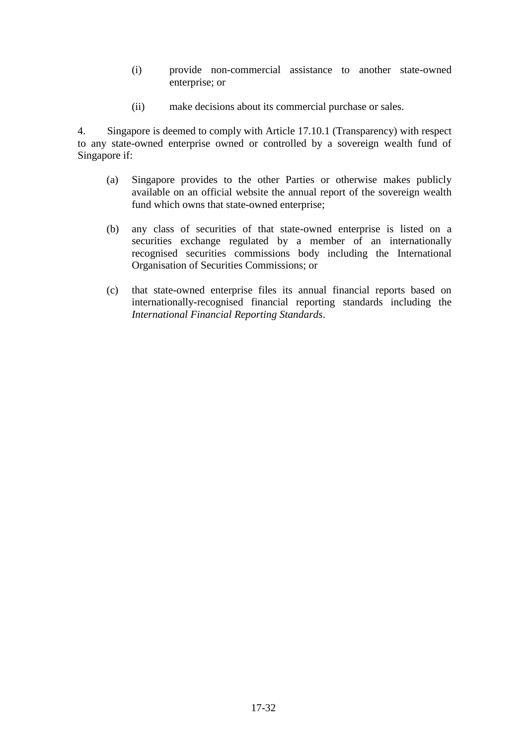- (i) provide non-commercial assistance to another state-owned enterprise; or
- (ii) make decisions about its commercial purchase or sales.

4. Singapore is deemed to comply with Article 17.10.1 (Transparency) with respect to any state-owned enterprise owned or controlled by a sovereign wealth fund of Singapore if:

- (a) Singapore provides to the other Parties or otherwise makes publicly available on an official website the annual report of the sovereign wealth fund which owns that state-owned enterprise;
- (b) any class of securities of that state-owned enterprise is listed on a securities exchange regulated by a member of an internationally recognised securities commissions body including the International Organisation of Securities Commissions; or
- (c) that state-owned enterprise files its annual financial reports based on internationally-recognised financial reporting standards including the *International Financial Reporting Standards*.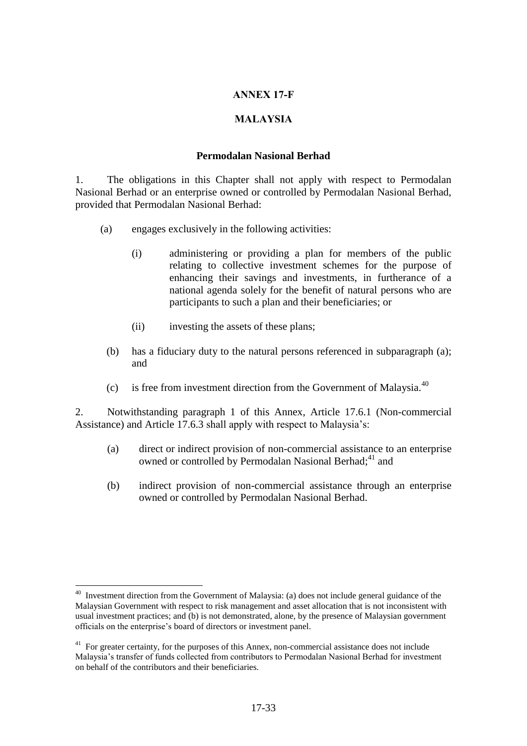### **ANNEX 17-F**

# **MALAYSIA**

#### **Permodalan Nasional Berhad**

1. The obligations in this Chapter shall not apply with respect to Permodalan Nasional Berhad or an enterprise owned or controlled by Permodalan Nasional Berhad, provided that Permodalan Nasional Berhad:

- (a) engages exclusively in the following activities:
	- (i) administering or providing a plan for members of the public relating to collective investment schemes for the purpose of enhancing their savings and investments, in furtherance of a national agenda solely for the benefit of natural persons who are participants to such a plan and their beneficiaries; or
	- (ii) investing the assets of these plans;
	- (b) has a fiduciary duty to the natural persons referenced in subparagraph (a); and
	- (c) is free from investment direction from the Government of Malaysia.<sup>40</sup>

2. Notwithstanding paragraph 1 of this Annex, Article 17.6.1 (Non-commercial Assistance) and Article 17.6.3 shall apply with respect to Malaysia's:

- (a) direct or indirect provision of non-commercial assistance to an enterprise owned or controlled by Permodalan Nasional Berhad;<sup>41</sup> and
- (b) indirect provision of non-commercial assistance through an enterprise owned or controlled by Permodalan Nasional Berhad.

1

<sup>&</sup>lt;sup>40</sup> Investment direction from the Government of Malaysia: (a) does not include general guidance of the Malaysian Government with respect to risk management and asset allocation that is not inconsistent with usual investment practices; and (b) is not demonstrated, alone, by the presence of Malaysian government officials on the enterprise's board of directors or investment panel.

<sup>&</sup>lt;sup>41</sup> For greater certainty, for the purposes of this Annex, non-commercial assistance does not include Malaysia's transfer of funds collected from contributors to Permodalan Nasional Berhad for investment on behalf of the contributors and their beneficiaries.